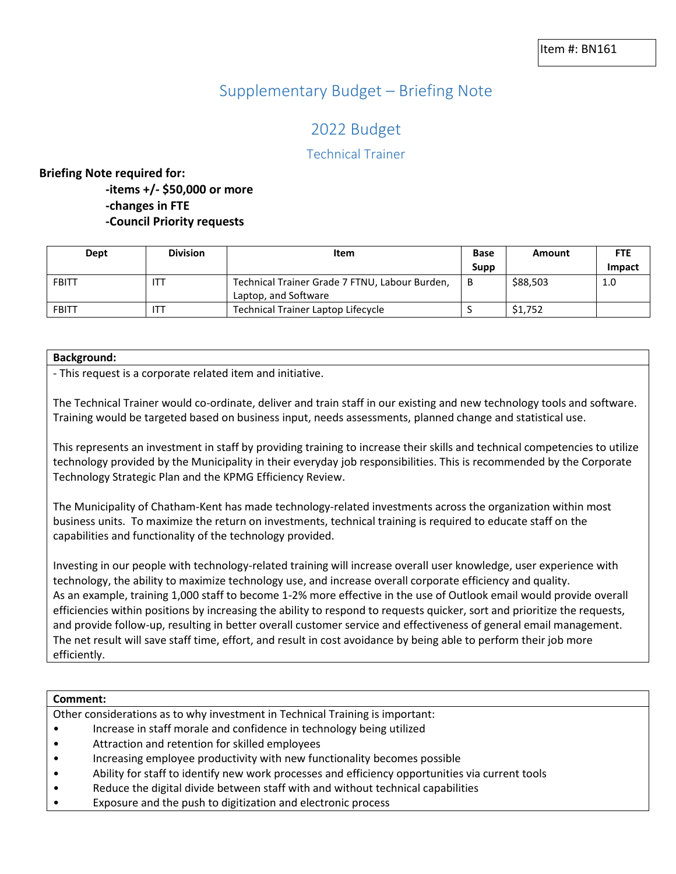## Supplementary Budget – Briefing Note

# 2022 Budget

### Technical Trainer

### **Briefing Note required for:**

**-items +/- \$50,000 or more -changes in FTE -Council Priority requests**

| Dept         | <b>Division</b> | Item                                                                   | <b>Base</b> | Amount   | <b>FTE</b> |
|--------------|-----------------|------------------------------------------------------------------------|-------------|----------|------------|
|              |                 |                                                                        | Supp        |          | Impact     |
| <b>FBITT</b> | ITT             | Technical Trainer Grade 7 FTNU, Labour Burden,<br>Laptop, and Software | - B         | \$88,503 | 1.0        |
| <b>FBITT</b> | ITT             | Technical Trainer Laptop Lifecycle                                     |             | \$1,752  |            |

#### **Background:**

- This request is a corporate related item and initiative.

The Technical Trainer would co-ordinate, deliver and train staff in our existing and new technology tools and software. Training would be targeted based on business input, needs assessments, planned change and statistical use.

This represents an investment in staff by providing training to increase their skills and technical competencies to utilize technology provided by the Municipality in their everyday job responsibilities. This is recommended by the Corporate Technology Strategic Plan and the KPMG Efficiency Review.

The Municipality of Chatham-Kent has made technology-related investments across the organization within most business units. To maximize the return on investments, technical training is required to educate staff on the capabilities and functionality of the technology provided.

Investing in our people with technology-related training will increase overall user knowledge, user experience with technology, the ability to maximize technology use, and increase overall corporate efficiency and quality. As an example, training 1,000 staff to become 1-2% more effective in the use of Outlook email would provide overall efficiencies within positions by increasing the ability to respond to requests quicker, sort and prioritize the requests, and provide follow-up, resulting in better overall customer service and effectiveness of general email management. The net result will save staff time, effort, and result in cost avoidance by being able to perform their job more efficiently.

| Comment:                                                                      |                                                                                                 |  |
|-------------------------------------------------------------------------------|-------------------------------------------------------------------------------------------------|--|
| Other considerations as to why investment in Technical Training is important: |                                                                                                 |  |
|                                                                               | Increase in staff morale and confidence in technology being utilized                            |  |
| $\bullet$                                                                     | Attraction and retention for skilled employees                                                  |  |
| $\bullet$                                                                     | Increasing employee productivity with new functionality becomes possible                        |  |
| $\bullet$                                                                     | Ability for staff to identify new work processes and efficiency opportunities via current tools |  |

- Reduce the digital divide between staff with and without technical capabilities
- Exposure and the push to digitization and electronic process